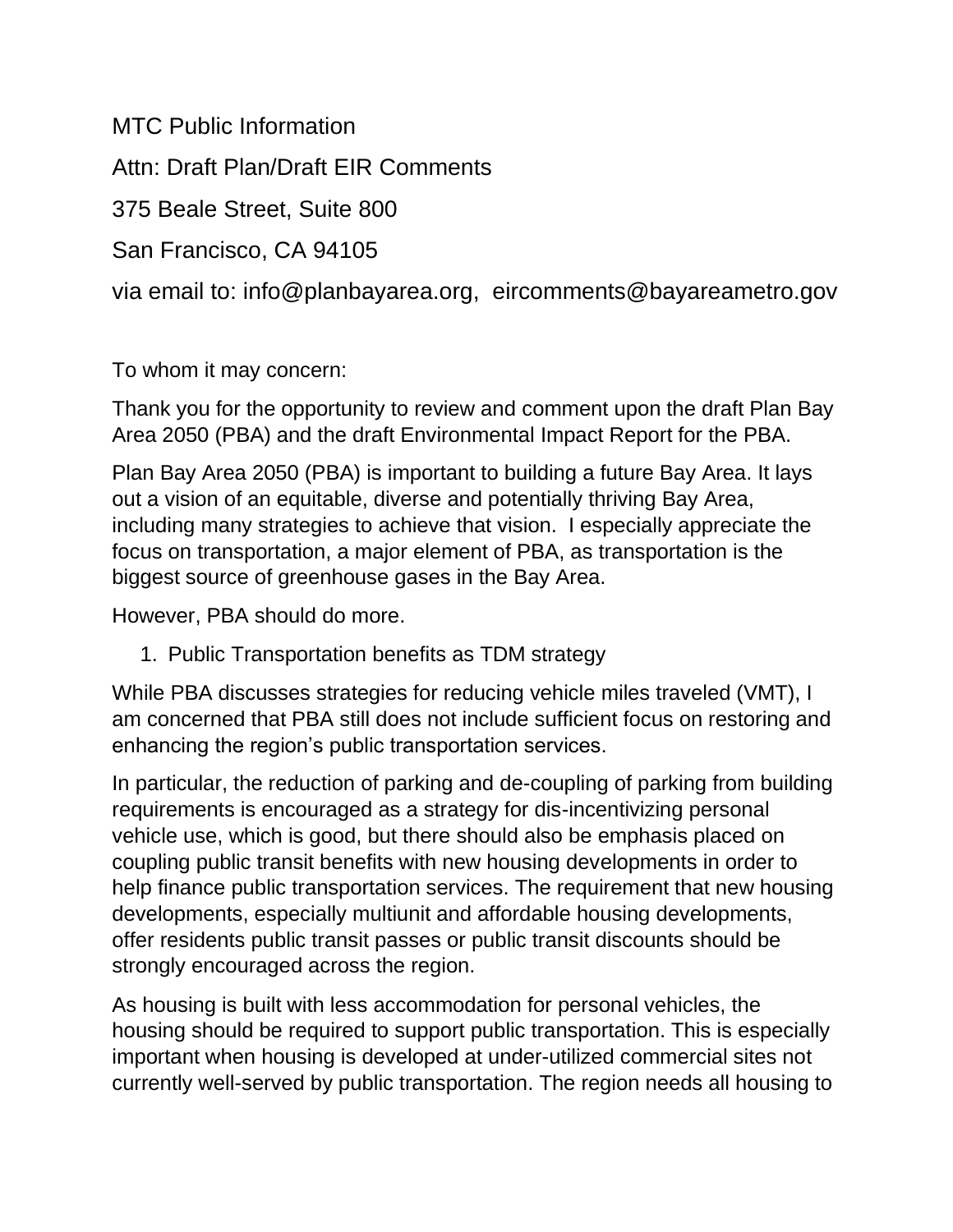MTC Public Information Attn: Draft Plan/Draft EIR Comments 375 Beale Street, Suite 800 San Francisco, CA 94105 via email to: info@planbayarea.org, eircomments@bayareametro.gov

To whom it may concern:

Thank you for the opportunity to review and comment upon the draft Plan Bay Area 2050 (PBA) and the draft Environmental Impact Report for the PBA.

Plan Bay Area 2050 (PBA) is important to building a future Bay Area. It lays out a vision of an equitable, diverse and potentially thriving Bay Area, including many strategies to achieve that vision. I especially appreciate the focus on transportation, a major element of PBA, as transportation is the biggest source of greenhouse gases in the Bay Area.

However, PBA should do more.

1. Public Transportation benefits as TDM strategy

While PBA discusses strategies for reducing vehicle miles traveled (VMT), I am concerned that PBA still does not include sufficient focus on restoring and enhancing the region's public transportation services.

In particular, the reduction of parking and de-coupling of parking from building requirements is encouraged as a strategy for dis-incentivizing personal vehicle use, which is good, but there should also be emphasis placed on coupling public transit benefits with new housing developments in order to help finance public transportation services. The requirement that new housing developments, especially multiunit and affordable housing developments, offer residents public transit passes or public transit discounts should be strongly encouraged across the region.

As housing is built with less accommodation for personal vehicles, the housing should be required to support public transportation. This is especially important when housing is developed at under-utilized commercial sites not currently well-served by public transportation. The region needs all housing to